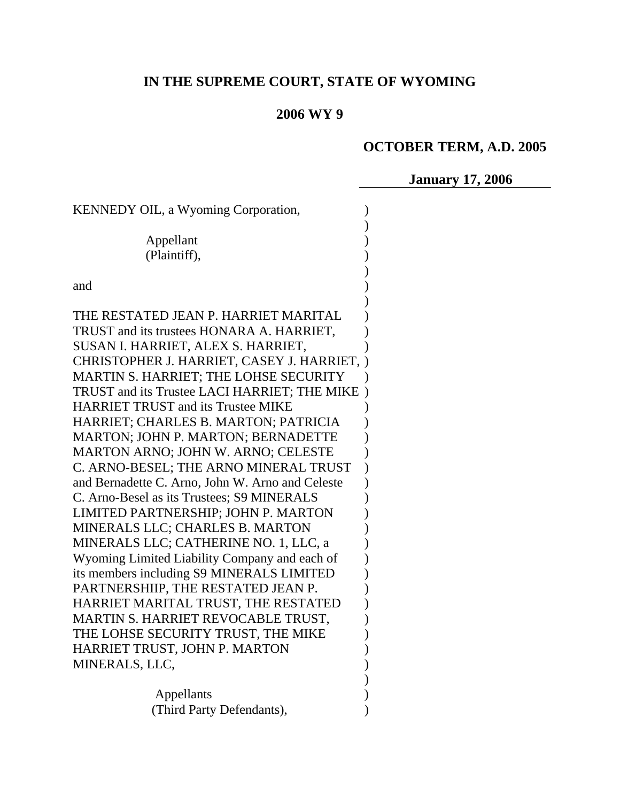# **IN THE SUPREME COURT, STATE OF WYOMING**

## **2006 WY 9**

# **OCTOBER TERM, A.D. 2005**

**January 17, 2006** 

| KENNEDY OIL, a Wyoming Corporation,              |  |  |
|--------------------------------------------------|--|--|
|                                                  |  |  |
| Appellant                                        |  |  |
| (Plaintiff),                                     |  |  |
|                                                  |  |  |
| and                                              |  |  |
| THE RESTATED JEAN P. HARRIET MARITAL             |  |  |
| TRUST and its trustees HONARA A. HARRIET,        |  |  |
| SUSAN I. HARRIET, ALEX S. HARRIET,               |  |  |
| CHRISTOPHER J. HARRIET, CASEY J. HARRIET,        |  |  |
| MARTIN S. HARRIET; THE LOHSE SECURITY            |  |  |
| TRUST and its Trustee LACI HARRIET; THE MIKE     |  |  |
| <b>HARRIET TRUST and its Trustee MIKE</b>        |  |  |
| HARRIET; CHARLES B. MARTON; PATRICIA             |  |  |
| <b>MARTON; JOHN P. MARTON; BERNADETTE</b>        |  |  |
| MARTON ARNO; JOHN W. ARNO; CELESTE               |  |  |
| C. ARNO-BESEL; THE ARNO MINERAL TRUST            |  |  |
| and Bernadette C. Arno, John W. Arno and Celeste |  |  |
| C. Arno-Besel as its Trustees; S9 MINERALS       |  |  |
| LIMITED PARTNERSHIP; JOHN P. MARTON              |  |  |
| MINERALS LLC; CHARLES B. MARTON                  |  |  |
| MINERALS LLC; CATHERINE NO. 1, LLC, a            |  |  |
| Wyoming Limited Liability Company and each of    |  |  |
| its members including S9 MINERALS LIMITED        |  |  |
| PARTNERSHIIP, THE RESTATED JEAN P.               |  |  |
| HARRIET MARITAL TRUST, THE RESTATED              |  |  |
| MARTIN S. HARRIET REVOCABLE TRUST,               |  |  |
| THE LOHSE SECURITY TRUST, THE MIKE               |  |  |
| HARRIET TRUST, JOHN P. MARTON                    |  |  |
| MINERALS, LLC,                                   |  |  |
|                                                  |  |  |
| Appellants                                       |  |  |
| (Third Party Defendants),                        |  |  |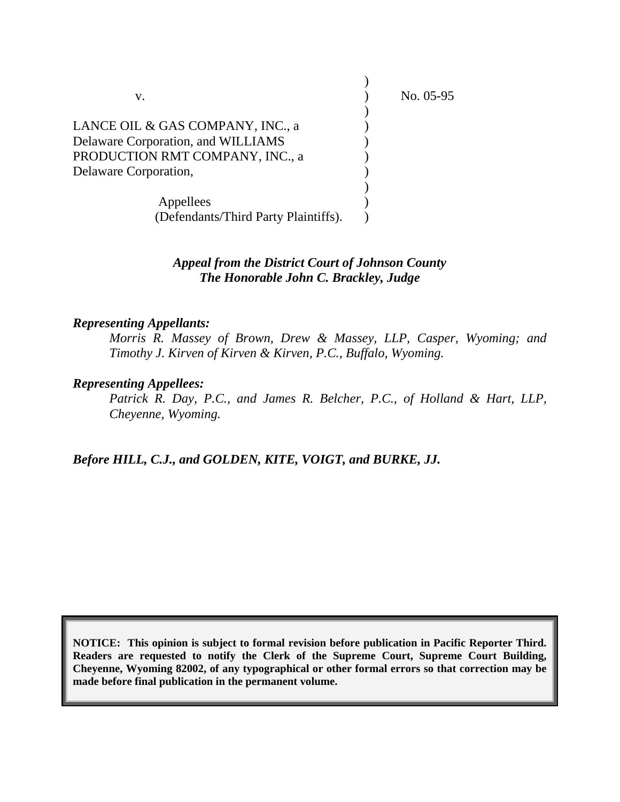| v.                                   | No. $05-95$ |
|--------------------------------------|-------------|
|                                      |             |
| LANCE OIL & GAS COMPANY, INC., a     |             |
| Delaware Corporation, and WILLIAMS   |             |
| PRODUCTION RMT COMPANY, INC., a      |             |
| Delaware Corporation,                |             |
|                                      |             |
| Appellees                            |             |
| (Defendants/Third Party Plaintiffs). |             |

## *Appeal from the District Court of Johnson County The Honorable John C. Brackley, Judge*

### *Representing Appellants:*

 *Morris R. Massey of Brown, Drew & Massey, LLP, Casper, Wyoming; and Timothy J. Kirven of Kirven & Kirven, P.C., Buffalo, Wyoming.* 

#### *Representing Appellees:*

 *Patrick R. Day, P.C., and James R. Belcher, P.C., of Holland & Hart, LLP, Cheyenne, Wyoming.* 

*Before HILL, C.J., and GOLDEN, KITE, VOIGT, and BURKE, JJ.* 

**NOTICE: This opinion is subject to formal revision before publication in Pacific Reporter Third. Readers are requested to notify the Clerk of the Supreme Court, Supreme Court Building, Cheyenne, Wyoming 82002, of any typographical or other formal errors so that correction may be made before final publication in the permanent volume.**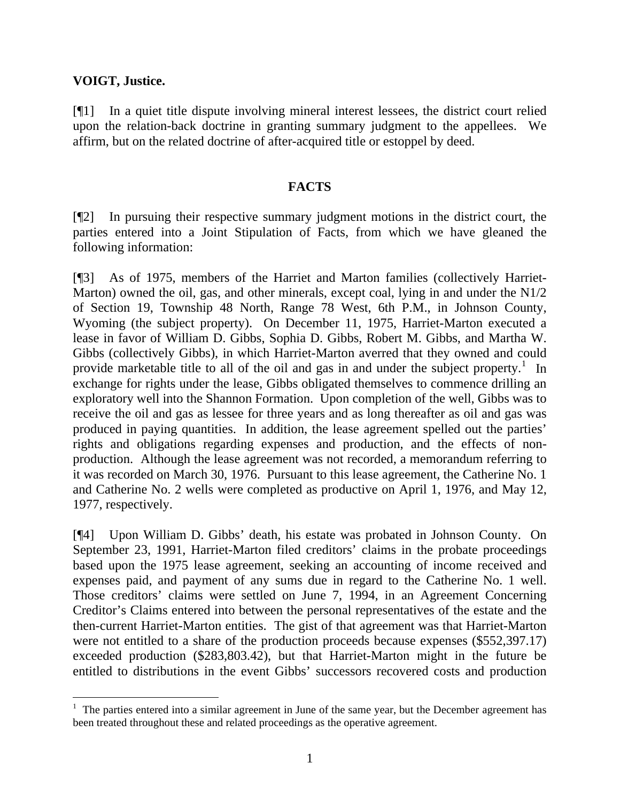## **VOIGT, Justice.**

 $\overline{a}$ 

[¶1] In a quiet title dispute involving mineral interest lessees, the district court relied upon the relation-back doctrine in granting summary judgment to the appellees. We affirm, but on the related doctrine of after-acquired title or estoppel by deed.

## **FACTS**

[¶2] In pursuing their respective summary judgment motions in the district court, the parties entered into a Joint Stipulation of Facts, from which we have gleaned the following information:

[¶3] As of 1975, members of the Harriet and Marton families (collectively Harriet-Marton) owned the oil, gas, and other minerals, except coal, lying in and under the N1/2 of Section 19, Township 48 North, Range 78 West, 6th P.M., in Johnson County, Wyoming (the subject property). On December 11, 1975, Harriet-Marton executed a lease in favor of William D. Gibbs, Sophia D. Gibbs, Robert M. Gibbs, and Martha W. Gibbs (collectively Gibbs), in which Harriet-Marton averred that they owned and could provide marketable title to all of the oil and gas in and under the subject property.<sup>[1](#page-2-0)</sup> In exchange for rights under the lease, Gibbs obligated themselves to commence drilling an exploratory well into the Shannon Formation. Upon completion of the well, Gibbs was to receive the oil and gas as lessee for three years and as long thereafter as oil and gas was produced in paying quantities. In addition, the lease agreement spelled out the parties' rights and obligations regarding expenses and production, and the effects of nonproduction. Although the lease agreement was not recorded, a memorandum referring to it was recorded on March 30, 1976. Pursuant to this lease agreement, the Catherine No. 1 and Catherine No. 2 wells were completed as productive on April 1, 1976, and May 12, 1977, respectively.

[¶4] Upon William D. Gibbs' death, his estate was probated in Johnson County. On September 23, 1991, Harriet-Marton filed creditors' claims in the probate proceedings based upon the 1975 lease agreement, seeking an accounting of income received and expenses paid, and payment of any sums due in regard to the Catherine No. 1 well. Those creditors' claims were settled on June 7, 1994, in an Agreement Concerning Creditor's Claims entered into between the personal representatives of the estate and the then-current Harriet-Marton entities. The gist of that agreement was that Harriet-Marton were not entitled to a share of the production proceeds because expenses (\$552,397.17) exceeded production (\$283,803.42), but that Harriet-Marton might in the future be entitled to distributions in the event Gibbs' successors recovered costs and production

<span id="page-2-0"></span> $<sup>1</sup>$  The parties entered into a similar agreement in June of the same year, but the December agreement has</sup> been treated throughout these and related proceedings as the operative agreement.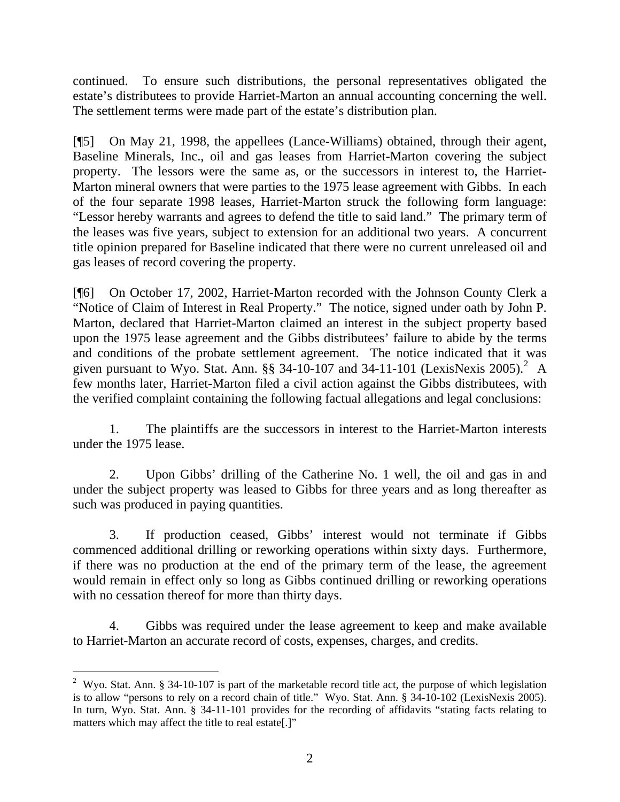continued. To ensure such distributions, the personal representatives obligated the estate's distributees to provide Harriet-Marton an annual accounting concerning the well. The settlement terms were made part of the estate's distribution plan.

[¶5] On May 21, 1998, the appellees (Lance-Williams) obtained, through their agent, Baseline Minerals, Inc., oil and gas leases from Harriet-Marton covering the subject property. The lessors were the same as, or the successors in interest to, the Harriet-Marton mineral owners that were parties to the 1975 lease agreement with Gibbs. In each of the four separate 1998 leases, Harriet-Marton struck the following form language: "Lessor hereby warrants and agrees to defend the title to said land." The primary term of the leases was five years, subject to extension for an additional two years. A concurrent title opinion prepared for Baseline indicated that there were no current unreleased oil and gas leases of record covering the property.

[¶6] On October 17, 2002, Harriet-Marton recorded with the Johnson County Clerk a "Notice of Claim of Interest in Real Property." The notice, signed under oath by John P. Marton, declared that Harriet-Marton claimed an interest in the subject property based upon the 1975 lease agreement and the Gibbs distributees' failure to abide by the terms and conditions of the probate settlement agreement. The notice indicated that it was given pursuant to Wyo. Stat. Ann.  $\S$ § 34-10-107 and 34-11-101 (LexisNexis [2](#page-3-0)005).<sup>2</sup> A few months later, Harriet-Marton filed a civil action against the Gibbs distributees, with the verified complaint containing the following factual allegations and legal conclusions:

 1. The plaintiffs are the successors in interest to the Harriet-Marton interests under the 1975 lease.

 2. Upon Gibbs' drilling of the Catherine No. 1 well, the oil and gas in and under the subject property was leased to Gibbs for three years and as long thereafter as such was produced in paying quantities.

 3. If production ceased, Gibbs' interest would not terminate if Gibbs commenced additional drilling or reworking operations within sixty days. Furthermore, if there was no production at the end of the primary term of the lease, the agreement would remain in effect only so long as Gibbs continued drilling or reworking operations with no cessation thereof for more than thirty days.

 4. Gibbs was required under the lease agreement to keep and make available to Harriet-Marton an accurate record of costs, expenses, charges, and credits.

<span id="page-3-0"></span> $\overline{a}$ <sup>2</sup> Wyo. Stat. Ann. § 34-10-107 is part of the marketable record title act, the purpose of which legislation is to allow "persons to rely on a record chain of title." Wyo. Stat. Ann. § 34-10-102 (LexisNexis 2005). In turn, Wyo. Stat. Ann. § 34-11-101 provides for the recording of affidavits "stating facts relating to matters which may affect the title to real estate[.]"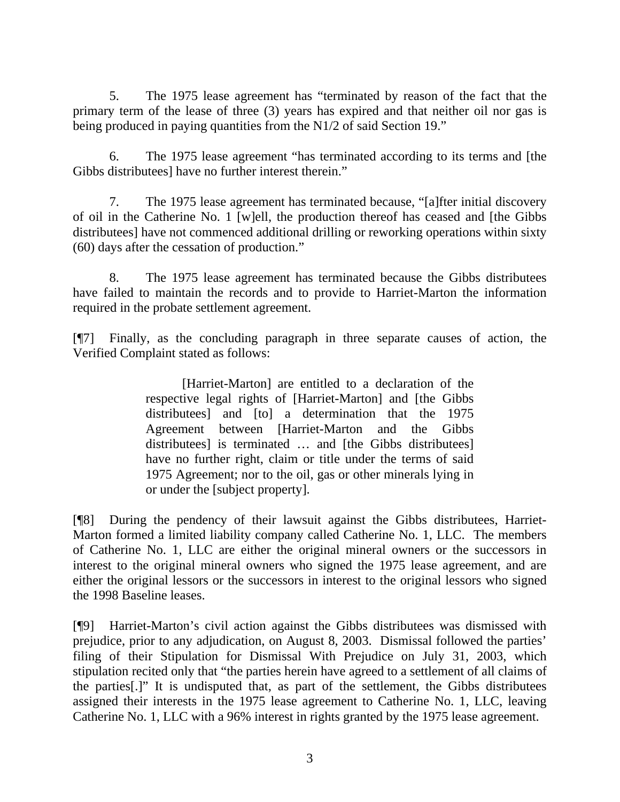5. The 1975 lease agreement has "terminated by reason of the fact that the primary term of the lease of three (3) years has expired and that neither oil nor gas is being produced in paying quantities from the N1/2 of said Section 19."

 6. The 1975 lease agreement "has terminated according to its terms and [the Gibbs distributees] have no further interest therein."

 7. The 1975 lease agreement has terminated because, "[a]fter initial discovery of oil in the Catherine No. 1 [w]ell, the production thereof has ceased and [the Gibbs distributees] have not commenced additional drilling or reworking operations within sixty (60) days after the cessation of production."

 8. The 1975 lease agreement has terminated because the Gibbs distributees have failed to maintain the records and to provide to Harriet-Marton the information required in the probate settlement agreement.

[¶7] Finally, as the concluding paragraph in three separate causes of action, the Verified Complaint stated as follows:

> [Harriet-Marton] are entitled to a declaration of the respective legal rights of [Harriet-Marton] and [the Gibbs distributees] and [to] a determination that the 1975 Agreement between [Harriet-Marton and the Gibbs distributees] is terminated … and [the Gibbs distributees] have no further right, claim or title under the terms of said 1975 Agreement; nor to the oil, gas or other minerals lying in or under the [subject property].

[¶8] During the pendency of their lawsuit against the Gibbs distributees, Harriet-Marton formed a limited liability company called Catherine No. 1, LLC. The members of Catherine No. 1, LLC are either the original mineral owners or the successors in interest to the original mineral owners who signed the 1975 lease agreement, and are either the original lessors or the successors in interest to the original lessors who signed the 1998 Baseline leases.

[¶9] Harriet-Marton's civil action against the Gibbs distributees was dismissed with prejudice, prior to any adjudication, on August 8, 2003. Dismissal followed the parties' filing of their Stipulation for Dismissal With Prejudice on July 31, 2003, which stipulation recited only that "the parties herein have agreed to a settlement of all claims of the parties[.]" It is undisputed that, as part of the settlement, the Gibbs distributees assigned their interests in the 1975 lease agreement to Catherine No. 1, LLC, leaving Catherine No. 1, LLC with a 96% interest in rights granted by the 1975 lease agreement.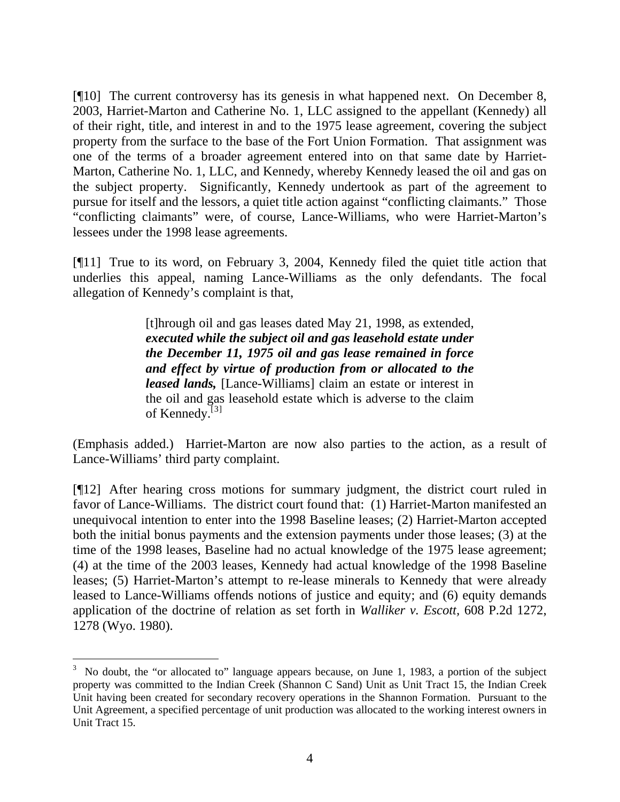[¶10] The current controversy has its genesis in what happened next. On December 8, 2003, Harriet-Marton and Catherine No. 1, LLC assigned to the appellant (Kennedy) all of their right, title, and interest in and to the 1975 lease agreement, covering the subject property from the surface to the base of the Fort Union Formation. That assignment was one of the terms of a broader agreement entered into on that same date by Harriet-Marton, Catherine No. 1, LLC, and Kennedy, whereby Kennedy leased the oil and gas on the subject property. Significantly, Kennedy undertook as part of the agreement to pursue for itself and the lessors, a quiet title action against "conflicting claimants." Those "conflicting claimants" were, of course, Lance-Williams, who were Harriet-Marton's lessees under the 1998 lease agreements.

[¶11] True to its word, on February 3, 2004, Kennedy filed the quiet title action that underlies this appeal, naming Lance-Williams as the only defendants. The focal allegation of Kennedy's complaint is that,

> [t]hrough oil and gas leases dated May 21, 1998, as extended, *executed while the subject oil and gas leasehold estate under the December 11, 1975 oil and gas lease remained in force and effect by virtue of production from or allocated to the leased lands,* [Lance-Williams] claim an estate or interest in the oil and gas leasehold estate which is adverse to the claim of Kennedy.<sup>[[3](#page-5-0)]</sup>

(Emphasis added.) Harriet-Marton are now also parties to the action, as a result of Lance-Williams' third party complaint.

[¶12] After hearing cross motions for summary judgment, the district court ruled in favor of Lance-Williams. The district court found that: (1) Harriet-Marton manifested an unequivocal intention to enter into the 1998 Baseline leases; (2) Harriet-Marton accepted both the initial bonus payments and the extension payments under those leases; (3) at the time of the 1998 leases, Baseline had no actual knowledge of the 1975 lease agreement; (4) at the time of the 2003 leases, Kennedy had actual knowledge of the 1998 Baseline leases; (5) Harriet-Marton's attempt to re-lease minerals to Kennedy that were already leased to Lance-Williams offends notions of justice and equity; and (6) equity demands application of the doctrine of relation as set forth in *Walliker v. Escott,* 608 P.2d 1272, 1278 (Wyo. 1980).

<span id="page-5-0"></span><sup>&</sup>lt;sup>3</sup> No doubt, the "or allocated to" language appears because, on June 1, 1983, a portion of the subject property was committed to the Indian Creek (Shannon C Sand) Unit as Unit Tract 15, the Indian Creek Unit having been created for secondary recovery operations in the Shannon Formation. Pursuant to the Unit Agreement, a specified percentage of unit production was allocated to the working interest owners in Unit Tract 15.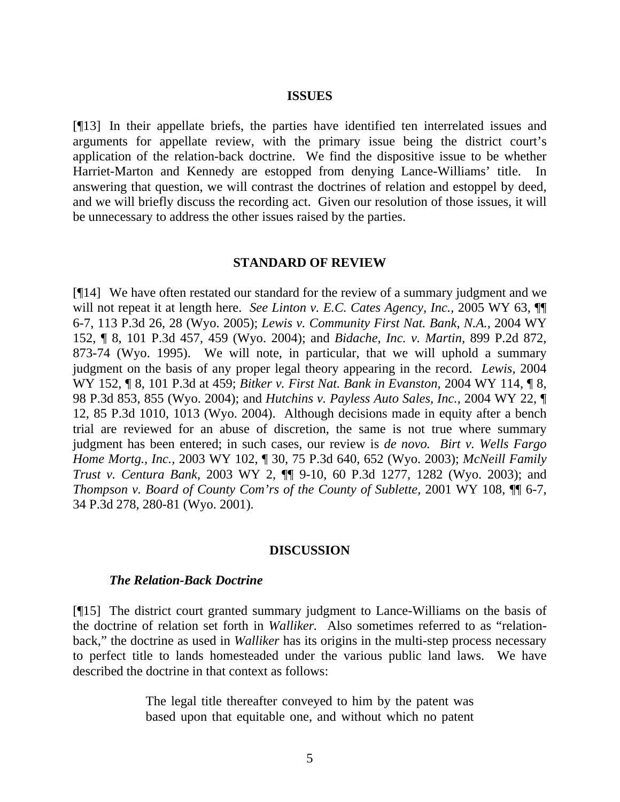#### **ISSUES**

[¶13] In their appellate briefs, the parties have identified ten interrelated issues and arguments for appellate review, with the primary issue being the district court's application of the relation-back doctrine. We find the dispositive issue to be whether Harriet-Marton and Kennedy are estopped from denying Lance-Williams' title. In answering that question, we will contrast the doctrines of relation and estoppel by deed, and we will briefly discuss the recording act. Given our resolution of those issues, it will be unnecessary to address the other issues raised by the parties.

#### **STANDARD OF REVIEW**

[¶14] We have often restated our standard for the review of a summary judgment and we will not repeat it at length here. *See Linton v. E.C. Cates Agency, Inc.*, 2005 WY 63,  $\P$ 6-7, 113 P.3d 26, 28 (Wyo. 2005); *Lewis v. Community First Nat. Bank, N.A.,* 2004 WY 152, ¶ 8, 101 P.3d 457, 459 (Wyo. 2004); and *Bidache, Inc. v. Martin,* 899 P.2d 872, 873-74 (Wyo. 1995). We will note, in particular, that we will uphold a summary judgment on the basis of any proper legal theory appearing in the record. *Lewis,* 2004 WY 152, ¶ 8, 101 P.3d at 459; *Bitker v. First Nat. Bank in Evanston,* 2004 WY 114, ¶ 8, 98 P.3d 853, 855 (Wyo. 2004); and *Hutchins v. Payless Auto Sales, Inc.,* 2004 WY 22, ¶ 12, 85 P.3d 1010, 1013 (Wyo. 2004). Although decisions made in equity after a bench trial are reviewed for an abuse of discretion, the same is not true where summary judgment has been entered; in such cases, our review is *de novo. Birt v. Wells Fargo Home Mortg., Inc.,* 2003 WY 102, ¶ 30, 75 P.3d 640, 652 (Wyo. 2003); *McNeill Family Trust v. Centura Bank,* 2003 WY 2, ¶¶ 9-10, 60 P.3d 1277, 1282 (Wyo. 2003); and *Thompson v. Board of County Com'rs of the County of Sublette, 2001 WY 108,*  $\P$  *6-7,* 34 P.3d 278, 280-81 (Wyo. 2001).

#### **DISCUSSION**

#### *The Relation-Back Doctrine*

[¶15] The district court granted summary judgment to Lance-Williams on the basis of the doctrine of relation set forth in *Walliker.* Also sometimes referred to as "relationback," the doctrine as used in *Walliker* has its origins in the multi-step process necessary to perfect title to lands homesteaded under the various public land laws. We have described the doctrine in that context as follows:

> The legal title thereafter conveyed to him by the patent was based upon that equitable one, and without which no patent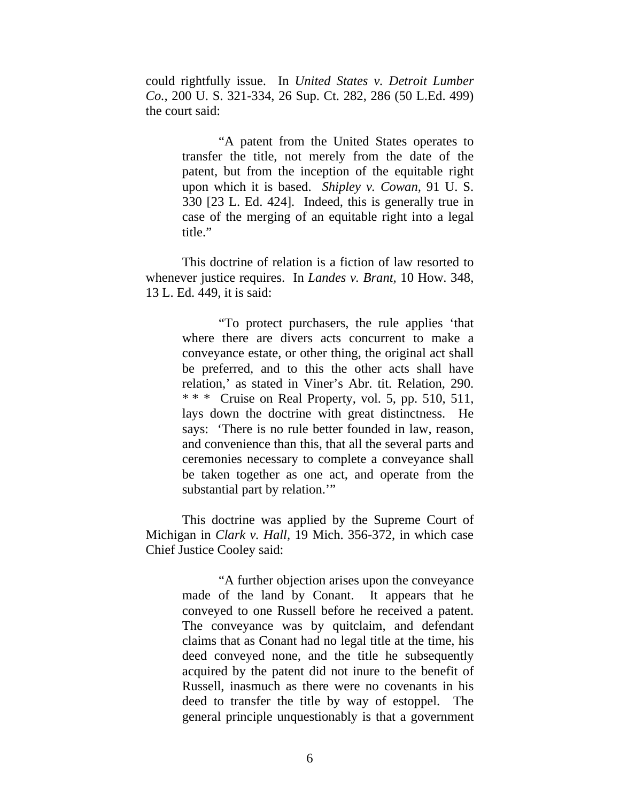could rightfully issue. In *United States v. Detroit Lumber Co.,* 200 U. S. 321-334, 26 Sup. Ct. 282, 286 (50 L.Ed. 499) the court said:

> "A patent from the United States operates to transfer the title, not merely from the date of the patent, but from the inception of the equitable right upon which it is based. *Shipley v. Cowan,* 91 U. S. 330 [23 L. Ed. 424]. Indeed, this is generally true in case of the merging of an equitable right into a legal title."

 This doctrine of relation is a fiction of law resorted to whenever justice requires. In *Landes v. Brant,* 10 How. 348, 13 L. Ed. 449, it is said:

> "To protect purchasers, the rule applies 'that where there are divers acts concurrent to make a conveyance estate, or other thing, the original act shall be preferred, and to this the other acts shall have relation,' as stated in Viner's Abr. tit. Relation, 290. \* \* \* Cruise on Real Property, vol. 5, pp. 510, 511, lays down the doctrine with great distinctness. He says: 'There is no rule better founded in law, reason, and convenience than this, that all the several parts and ceremonies necessary to complete a conveyance shall be taken together as one act, and operate from the substantial part by relation."

This doctrine was applied by the Supreme Court of Michigan in *Clark v. Hall,* 19 Mich. 356-372, in which case Chief Justice Cooley said:

> "A further objection arises upon the conveyance made of the land by Conant. It appears that he conveyed to one Russell before he received a patent. The conveyance was by quitclaim, and defendant claims that as Conant had no legal title at the time, his deed conveyed none, and the title he subsequently acquired by the patent did not inure to the benefit of Russell, inasmuch as there were no covenants in his deed to transfer the title by way of estoppel. The general principle unquestionably is that a government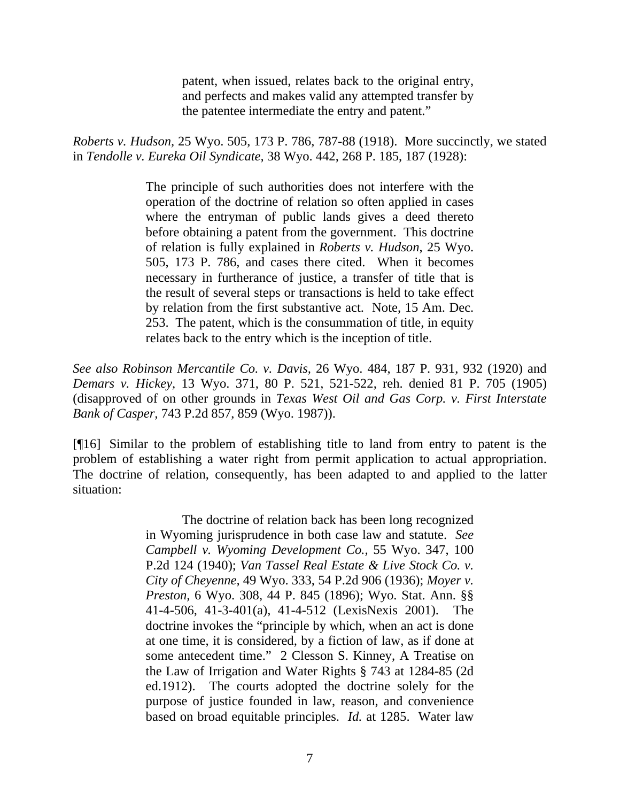patent, when issued, relates back to the original entry, and perfects and makes valid any attempted transfer by the patentee intermediate the entry and patent."

*Roberts v. Hudson,* 25 Wyo. 505, 173 P. 786, 787-88 (1918). More succinctly, we stated in *Tendolle v. Eureka Oil Syndicate,* 38 Wyo. 442, 268 P. 185, 187 (1928):

> The principle of such authorities does not interfere with the operation of the doctrine of relation so often applied in cases where the entryman of public lands gives a deed thereto before obtaining a patent from the government. This doctrine of relation is fully explained in *Roberts v. Hudson*, 25 Wyo. 505, 173 P. 786, and cases there cited. When it becomes necessary in furtherance of justice, a transfer of title that is the result of several steps or transactions is held to take effect by relation from the first substantive act. Note, 15 Am. Dec. 253. The patent, which is the consummation of title, in equity relates back to the entry which is the inception of title.

*See also Robinson Mercantile Co. v. Davis,* 26 Wyo. 484, 187 P. 931, 932 (1920) and *Demars v. Hickey,* 13 Wyo. 371, 80 P. 521, 521-522, reh. denied 81 P. 705 (1905) (disapproved of on other grounds in *Texas West Oil and Gas Corp. v. First Interstate Bank of Casper,* 743 P.2d 857, 859 (Wyo. 1987)).

[¶16] Similar to the problem of establishing title to land from entry to patent is the problem of establishing a water right from permit application to actual appropriation. The doctrine of relation, consequently, has been adapted to and applied to the latter situation:

> The doctrine of relation back has been long recognized in Wyoming jurisprudence in both case law and statute. *See Campbell v. Wyoming Development Co.,* 55 Wyo. 347, 100 P.2d 124 (1940); *Van Tassel Real Estate & Live Stock Co. v. City of Cheyenne,* 49 Wyo. 333, 54 P.2d 906 (1936); *Moyer v. Preston,* 6 Wyo. 308, 44 P. 845 (1896); Wyo. Stat. Ann. §§ 41-4-506, 41-3-401(a), 41-4-512 (LexisNexis 2001). The doctrine invokes the "principle by which, when an act is done at one time, it is considered, by a fiction of law, as if done at some antecedent time." 2 Clesson S. Kinney, A Treatise on the Law of Irrigation and Water Rights § 743 at 1284-85 (2d ed.1912). The courts adopted the doctrine solely for the purpose of justice founded in law, reason, and convenience based on broad equitable principles. *Id.* at 1285. Water law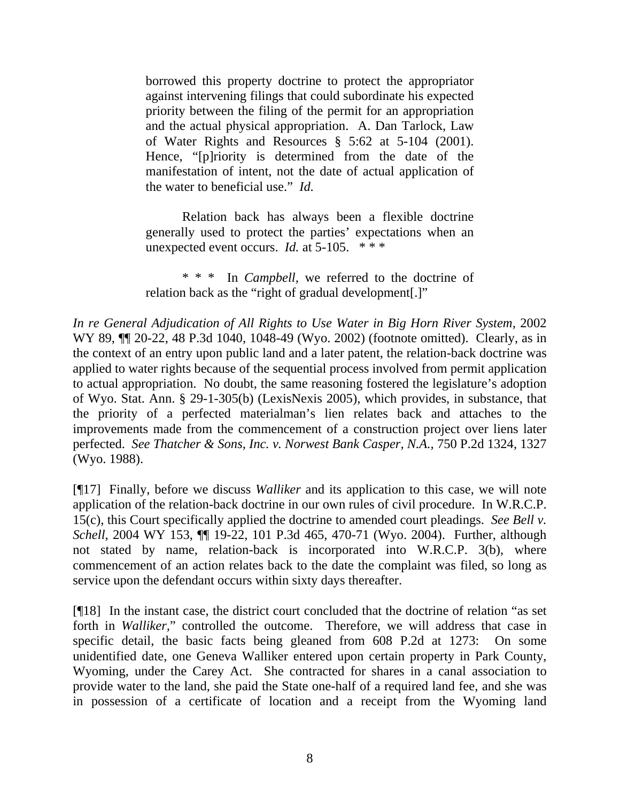borrowed this property doctrine to protect the appropriator against intervening filings that could subordinate his expected priority between the filing of the permit for an appropriation and the actual physical appropriation. A. Dan Tarlock, Law of Water Rights and Resources § 5:62 at 5-104 (2001). Hence, "[p]riority is determined from the date of the manifestation of intent, not the date of actual application of the water to beneficial use." *Id.*

 Relation back has always been a flexible doctrine generally used to protect the parties' expectations when an unexpected event occurs. *Id.* at 5-105. \*\*\*

 \* \* \* In *Campbell,* we referred to the doctrine of relation back as the "right of gradual development[.]"

*In re General Adjudication of All Rights to Use Water in Big Horn River System,* 2002 WY 89, ¶¶ 20-22, 48 P.3d 1040, 1048-49 (Wyo. 2002) (footnote omitted). Clearly, as in the context of an entry upon public land and a later patent, the relation-back doctrine was applied to water rights because of the sequential process involved from permit application to actual appropriation. No doubt, the same reasoning fostered the legislature's adoption of Wyo. Stat. Ann. § 29-1-305(b) (LexisNexis 2005), which provides, in substance, that the priority of a perfected materialman's lien relates back and attaches to the improvements made from the commencement of a construction project over liens later perfected. *See Thatcher & Sons, Inc. v. Norwest Bank Casper, N.A.,* 750 P.2d 1324, 1327 (Wyo. 1988).

[¶17] Finally, before we discuss *Walliker* and its application to this case, we will note application of the relation-back doctrine in our own rules of civil procedure. In W.R.C.P. 15(c), this Court specifically applied the doctrine to amended court pleadings. *See Bell v. Schell,* 2004 WY 153, ¶¶ 19-22, 101 P.3d 465, 470-71 (Wyo. 2004). Further, although not stated by name, relation-back is incorporated into W.R.C.P. 3(b), where commencement of an action relates back to the date the complaint was filed, so long as service upon the defendant occurs within sixty days thereafter.

[¶18] In the instant case, the district court concluded that the doctrine of relation "as set forth in *Walliker,*" controlled the outcome. Therefore, we will address that case in specific detail, the basic facts being gleaned from 608 P.2d at 1273: On some unidentified date, one Geneva Walliker entered upon certain property in Park County, Wyoming, under the Carey Act. She contracted for shares in a canal association to provide water to the land, she paid the State one-half of a required land fee, and she was in possession of a certificate of location and a receipt from the Wyoming land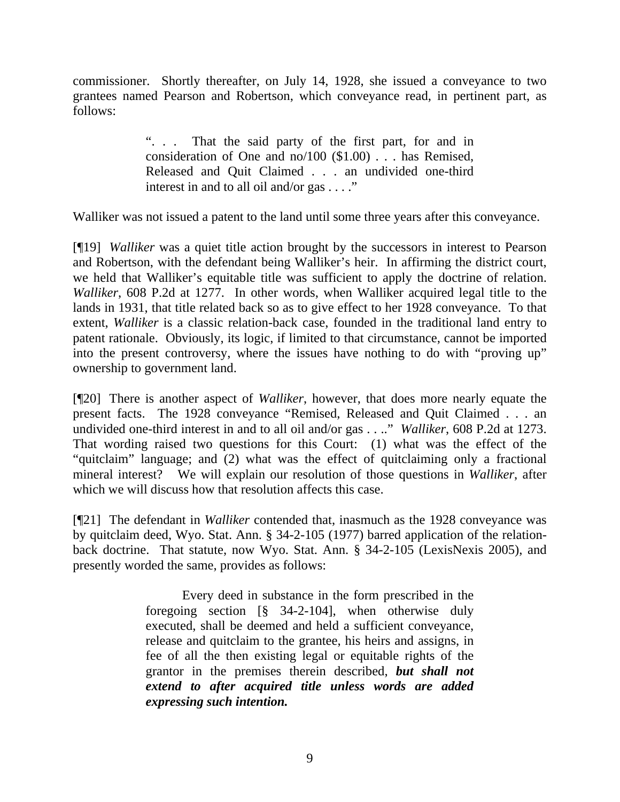commissioner. Shortly thereafter, on July 14, 1928, she issued a conveyance to two grantees named Pearson and Robertson, which conveyance read, in pertinent part, as follows:

> ". . . That the said party of the first part, for and in consideration of One and no/100 (\$1.00) . . . has Remised, Released and Quit Claimed . . . an undivided one-third interest in and to all oil and/or gas . . . ."

Walliker was not issued a patent to the land until some three years after this conveyance.

[¶19] *Walliker* was a quiet title action brought by the successors in interest to Pearson and Robertson, with the defendant being Walliker's heir. In affirming the district court, we held that Walliker's equitable title was sufficient to apply the doctrine of relation. *Walliker*, 608 P.2d at 1277. In other words, when Walliker acquired legal title to the lands in 1931, that title related back so as to give effect to her 1928 conveyance. To that extent, *Walliker* is a classic relation-back case, founded in the traditional land entry to patent rationale. Obviously, its logic, if limited to that circumstance, cannot be imported into the present controversy, where the issues have nothing to do with "proving up" ownership to government land.

[¶20] There is another aspect of *Walliker*, however, that does more nearly equate the present facts. The 1928 conveyance "Remised, Released and Quit Claimed . . . an undivided one-third interest in and to all oil and/or gas . . .." *Walliker*, 608 P.2d at 1273. That wording raised two questions for this Court: (1) what was the effect of the "quitclaim" language; and (2) what was the effect of quitclaiming only a fractional mineral interest? We will explain our resolution of those questions in *Walliker*, after which we will discuss how that resolution affects this case.

[¶21] The defendant in *Walliker* contended that, inasmuch as the 1928 conveyance was by quitclaim deed, Wyo. Stat. Ann. § 34-2-105 (1977) barred application of the relationback doctrine. That statute, now Wyo. Stat. Ann. § 34-2-105 (LexisNexis 2005), and presently worded the same, provides as follows:

> Every deed in substance in the form prescribed in the foregoing section [§ 34-2-104], when otherwise duly executed, shall be deemed and held a sufficient conveyance, release and quitclaim to the grantee, his heirs and assigns, in fee of all the then existing legal or equitable rights of the grantor in the premises therein described, *but shall not extend to after acquired title unless words are added expressing such intention.*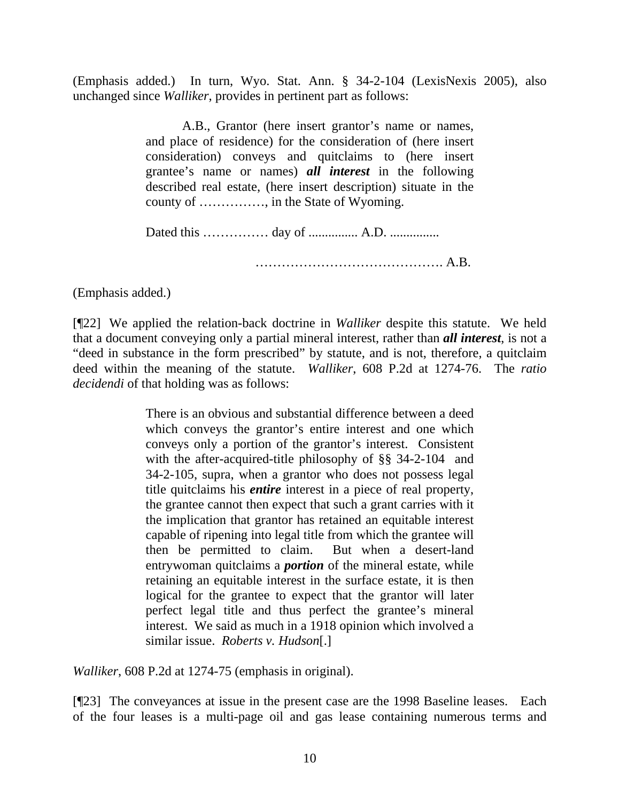(Emphasis added.) In turn, Wyo. Stat. Ann. § 34-2-104 (LexisNexis 2005), also unchanged since *Walliker*, provides in pertinent part as follows:

> A.B., Grantor (here insert grantor's name or names, and place of residence) for the consideration of (here insert consideration) conveys and quitclaims to (here insert grantee's name or names) *all interest* in the following described real estate, (here insert description) situate in the county of ……………, in the State of Wyoming.

Dated this …………… day of ............... A.D. ...............

……………………………………. A.B.

(Emphasis added.)

[¶22] We applied the relation-back doctrine in *Walliker* despite this statute. We held that a document conveying only a partial mineral interest, rather than *all interest*, is not a "deed in substance in the form prescribed" by statute, and is not, therefore, a quitclaim deed within the meaning of the statute. *Walliker*, 608 P.2d at 1274-76. The *ratio decidendi* of that holding was as follows:

> There is an obvious and substantial difference between a deed which conveys the grantor's entire interest and one which conveys only a portion of the grantor's interest. Consistent with the after-acquired-title philosophy of §§ 34-2-104 and 34-2-105, supra, when a grantor who does not possess legal title quitclaims his *entire* interest in a piece of real property, the grantee cannot then expect that such a grant carries with it the implication that grantor has retained an equitable interest capable of ripening into legal title from which the grantee will then be permitted to claim. But when a desert-land entrywoman quitclaims a *portion* of the mineral estate, while retaining an equitable interest in the surface estate, it is then logical for the grantee to expect that the grantor will later perfect legal title and thus perfect the grantee's mineral interest. We said as much in a 1918 opinion which involved a similar issue. *Roberts v. Hudson*[.]

*Walliker*, 608 P.2d at 1274-75 (emphasis in original).

[¶23] The conveyances at issue in the present case are the 1998 Baseline leases. Each of the four leases is a multi-page oil and gas lease containing numerous terms and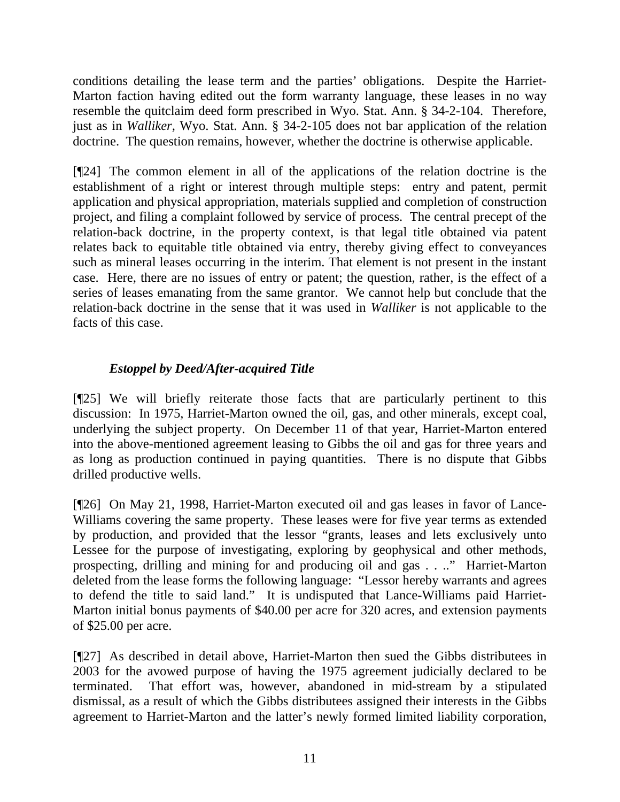conditions detailing the lease term and the parties' obligations. Despite the Harriet-Marton faction having edited out the form warranty language, these leases in no way resemble the quitclaim deed form prescribed in Wyo. Stat. Ann. § 34-2-104. Therefore, just as in *Walliker,* Wyo. Stat. Ann. § 34-2-105 does not bar application of the relation doctrine. The question remains, however, whether the doctrine is otherwise applicable.

[¶24] The common element in all of the applications of the relation doctrine is the establishment of a right or interest through multiple steps: entry and patent, permit application and physical appropriation, materials supplied and completion of construction project, and filing a complaint followed by service of process. The central precept of the relation-back doctrine, in the property context, is that legal title obtained via patent relates back to equitable title obtained via entry, thereby giving effect to conveyances such as mineral leases occurring in the interim. That element is not present in the instant case. Here, there are no issues of entry or patent; the question, rather, is the effect of a series of leases emanating from the same grantor. We cannot help but conclude that the relation-back doctrine in the sense that it was used in *Walliker* is not applicable to the facts of this case.

## *Estoppel by Deed/After-acquired Title*

[¶25] We will briefly reiterate those facts that are particularly pertinent to this discussion: In 1975, Harriet-Marton owned the oil, gas, and other minerals, except coal, underlying the subject property. On December 11 of that year, Harriet-Marton entered into the above-mentioned agreement leasing to Gibbs the oil and gas for three years and as long as production continued in paying quantities. There is no dispute that Gibbs drilled productive wells.

[¶26] On May 21, 1998, Harriet-Marton executed oil and gas leases in favor of Lance-Williams covering the same property. These leases were for five year terms as extended by production, and provided that the lessor "grants, leases and lets exclusively unto Lessee for the purpose of investigating, exploring by geophysical and other methods, prospecting, drilling and mining for and producing oil and gas . . .." Harriet-Marton deleted from the lease forms the following language: "Lessor hereby warrants and agrees to defend the title to said land." It is undisputed that Lance-Williams paid Harriet-Marton initial bonus payments of \$40.00 per acre for 320 acres, and extension payments of \$25.00 per acre.

[¶27] As described in detail above, Harriet-Marton then sued the Gibbs distributees in 2003 for the avowed purpose of having the 1975 agreement judicially declared to be terminated. That effort was, however, abandoned in mid-stream by a stipulated dismissal, as a result of which the Gibbs distributees assigned their interests in the Gibbs agreement to Harriet-Marton and the latter's newly formed limited liability corporation,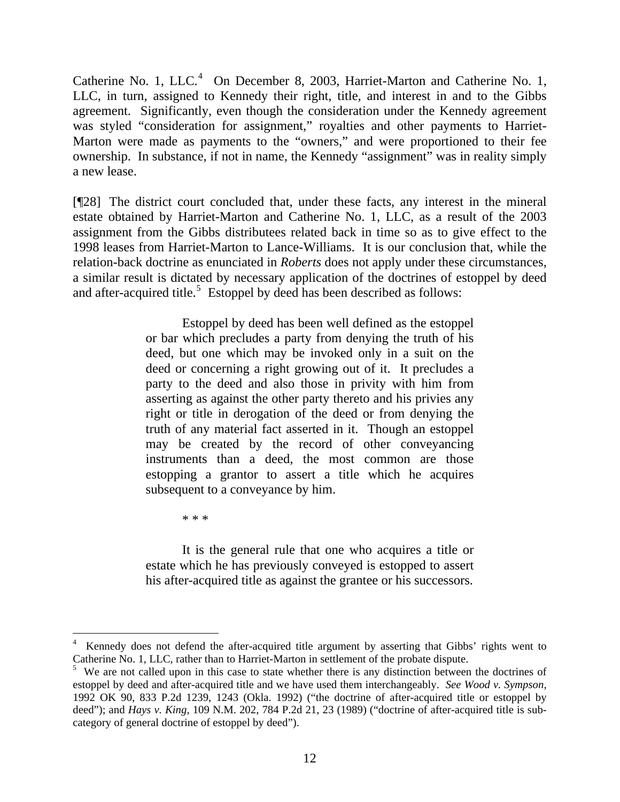Catherine No. 1, LLC. $4$  On December 8, 2003, Harriet-Marton and Catherine No. 1, LLC, in turn, assigned to Kennedy their right, title, and interest in and to the Gibbs agreement. Significantly, even though the consideration under the Kennedy agreement was styled "consideration for assignment," royalties and other payments to Harriet-Marton were made as payments to the "owners," and were proportioned to their fee ownership. In substance, if not in name, the Kennedy "assignment" was in reality simply a new lease.

[¶28] The district court concluded that, under these facts, any interest in the mineral estate obtained by Harriet-Marton and Catherine No. 1, LLC, as a result of the 2003 assignment from the Gibbs distributees related back in time so as to give effect to the 1998 leases from Harriet-Marton to Lance-Williams. It is our conclusion that, while the relation-back doctrine as enunciated in *Roberts* does not apply under these circumstances, a similar result is dictated by necessary application of the doctrines of estoppel by deed and after-acquired title.<sup>[5](#page-13-1)</sup> Estoppel by deed has been described as follows:

> Estoppel by deed has been well defined as the estoppel or bar which precludes a party from denying the truth of his deed, but one which may be invoked only in a suit on the deed or concerning a right growing out of it. It precludes a party to the deed and also those in privity with him from asserting as against the other party thereto and his privies any right or title in derogation of the deed or from denying the truth of any material fact asserted in it. Though an estoppel may be created by the record of other conveyancing instruments than a deed, the most common are those estopping a grantor to assert a title which he acquires subsequent to a conveyance by him.

> > \* \* \*

 $\overline{a}$ 

 It is the general rule that one who acquires a title or estate which he has previously conveyed is estopped to assert his after-acquired title as against the grantee or his successors.

<span id="page-13-0"></span><sup>4</sup> Kennedy does not defend the after-acquired title argument by asserting that Gibbs' rights went to Catherine No. 1, LLC, rather than to Harriet-Marton in settlement of the probate dispute.

<span id="page-13-1"></span><sup>&</sup>lt;sup>5</sup> We are not called upon in this case to state whether there is any distinction between the doctrines of estoppel by deed and after-acquired title and we have used them interchangeably. *See Wood v. Sympson,*  1992 OK 90, 833 P.2d 1239, 1243 (Okla. 1992) ("the doctrine of after-acquired title or estoppel by deed"); and *Hays v. King,* 109 N.M. 202, 784 P.2d 21, 23 (1989) ("doctrine of after-acquired title is subcategory of general doctrine of estoppel by deed").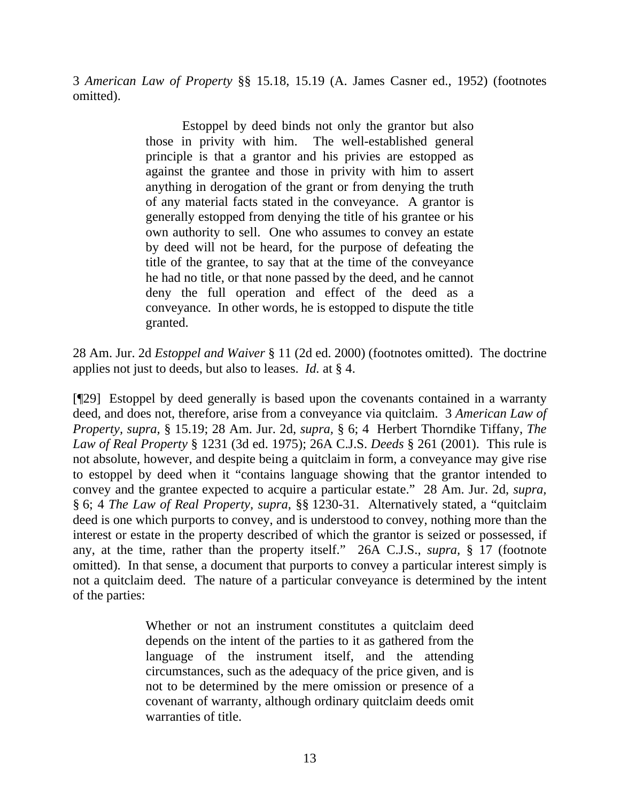3 *American Law of Property* §§ 15.18, 15.19 (A. James Casner ed., 1952) (footnotes omitted).

> Estoppel by deed binds not only the grantor but also those in privity with him. The well-established general principle is that a grantor and his privies are estopped as against the grantee and those in privity with him to assert anything in derogation of the grant or from denying the truth of any material facts stated in the conveyance. A grantor is generally estopped from denying the title of his grantee or his own authority to sell. One who assumes to convey an estate by deed will not be heard, for the purpose of defeating the title of the grantee, to say that at the time of the conveyance he had no title, or that none passed by the deed, and he cannot deny the full operation and effect of the deed as a conveyance. In other words, he is estopped to dispute the title granted.

28 Am. Jur. 2d *Estoppel and Waiver* § 11 (2d ed. 2000) (footnotes omitted). The doctrine applies not just to deeds, but also to leases. *Id.* at § 4.

[¶29] Estoppel by deed generally is based upon the covenants contained in a warranty deed, and does not, therefore, arise from a conveyance via quitclaim. 3 *American Law of Property, supra,* § 15.19; 28 Am. Jur. 2d, *supra,* § 6; 4 Herbert Thorndike Tiffany, *The Law of Real Property* § 1231 (3d ed. 1975); 26A C.J.S. *Deeds* § 261 (2001). This rule is not absolute, however, and despite being a quitclaim in form, a conveyance may give rise to estoppel by deed when it "contains language showing that the grantor intended to convey and the grantee expected to acquire a particular estate." 28 Am. Jur. 2d, *supra,*  § 6; 4 *The Law of Real Property, supra*, §§ 1230-31. Alternatively stated, a "quitclaim deed is one which purports to convey, and is understood to convey, nothing more than the interest or estate in the property described of which the grantor is seized or possessed, if any, at the time, rather than the property itself." 26A C.J.S., *supra,* § 17 (footnote omitted). In that sense, a document that purports to convey a particular interest simply is not a quitclaim deed. The nature of a particular conveyance is determined by the intent of the parties:

> Whether or not an instrument constitutes a quitclaim deed depends on the intent of the parties to it as gathered from the language of the instrument itself, and the attending circumstances, such as the adequacy of the price given, and is not to be determined by the mere omission or presence of a covenant of warranty, although ordinary quitclaim deeds omit warranties of title.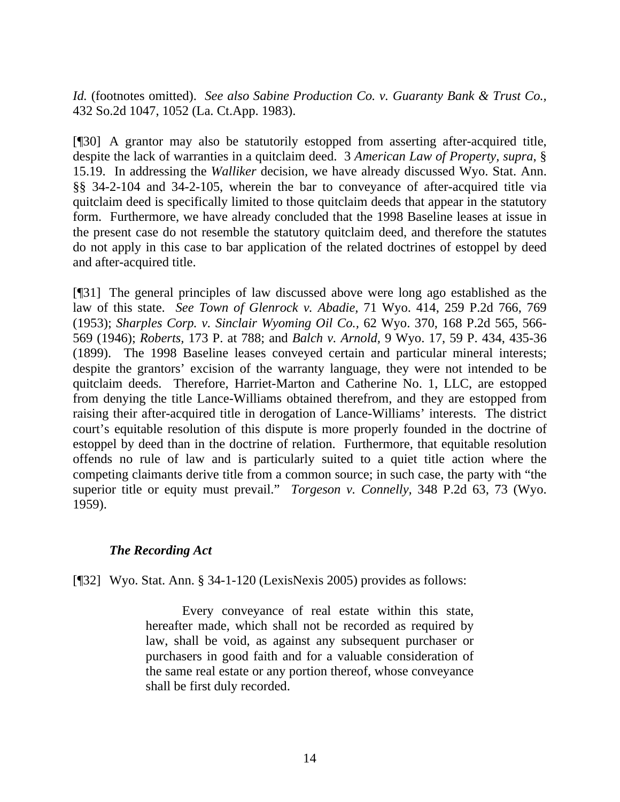*Id.* (footnotes omitted). *See also Sabine Production Co. v. Guaranty Bank & Trust Co.,*  432 So.2d 1047, 1052 (La. Ct.App. 1983).

[¶30] A grantor may also be statutorily estopped from asserting after-acquired title, despite the lack of warranties in a quitclaim deed. 3 *American Law of Property, supra*, § 15.19. In addressing the *Walliker* decision, we have already discussed Wyo. Stat. Ann. §§ 34-2-104 and 34-2-105, wherein the bar to conveyance of after-acquired title via quitclaim deed is specifically limited to those quitclaim deeds that appear in the statutory form. Furthermore, we have already concluded that the 1998 Baseline leases at issue in the present case do not resemble the statutory quitclaim deed, and therefore the statutes do not apply in this case to bar application of the related doctrines of estoppel by deed and after-acquired title.

[¶31] The general principles of law discussed above were long ago established as the law of this state. *See Town of Glenrock v. Abadie,* 71 Wyo. 414, 259 P.2d 766, 769 (1953); *Sharples Corp. v. Sinclair Wyoming Oil Co.,* 62 Wyo. 370, 168 P.2d 565, 566- 569 (1946); *Roberts,* 173 P. at 788; and *Balch v. Arnold,* 9 Wyo. 17, 59 P. 434, 435-36 (1899). The 1998 Baseline leases conveyed certain and particular mineral interests; despite the grantors' excision of the warranty language, they were not intended to be quitclaim deeds. Therefore, Harriet-Marton and Catherine No. 1, LLC, are estopped from denying the title Lance-Williams obtained therefrom, and they are estopped from raising their after-acquired title in derogation of Lance-Williams' interests. The district court's equitable resolution of this dispute is more properly founded in the doctrine of estoppel by deed than in the doctrine of relation. Furthermore, that equitable resolution offends no rule of law and is particularly suited to a quiet title action where the competing claimants derive title from a common source; in such case, the party with "the superior title or equity must prevail." *Torgeson v. Connelly,* 348 P.2d 63, 73 (Wyo. 1959).

## *The Recording Act*

[¶32] Wyo. Stat. Ann. § 34-1-120 (LexisNexis 2005) provides as follows:

 Every conveyance of real estate within this state, hereafter made, which shall not be recorded as required by law, shall be void, as against any subsequent purchaser or purchasers in good faith and for a valuable consideration of the same real estate or any portion thereof, whose conveyance shall be first duly recorded.